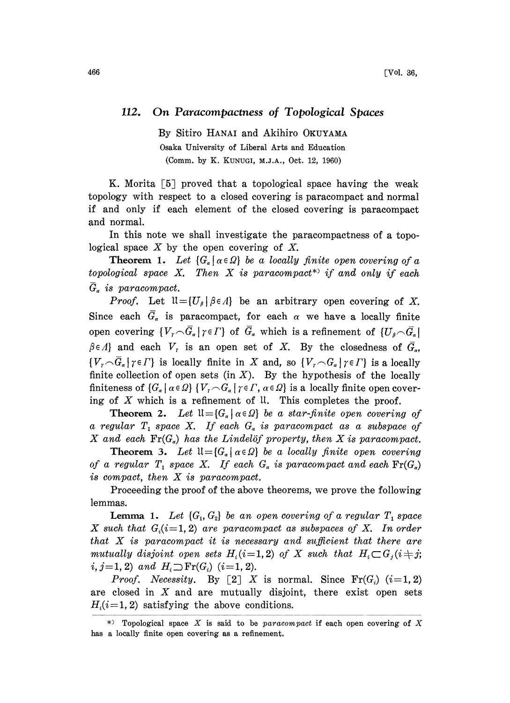## 112. On Paracompactness of Topological Spaces

By Sitiro HANAI and Akihiro OKUYAMA Osaka University of Liberal Arts and Education (Comm. by K. KUNUGI, M.J.A., Oct. 12, 1960)

K. Morita  $\lceil 5 \rceil$  proved that a topological space having the weak topology with respect to a closed covering is paracompact and normal if and only if each element of the closed covering is paracompact and normal.

In this note we shall investigate the paracompactness of a topological space  $X$  by the open covering of  $X$ .

**Theorem 1.** Let  $\{G_{\alpha} | \alpha \in \Omega\}$  be a locally finite open covering of a topological space X. Then X is paracompact\*' if and only if each  $\bar{G}_{\alpha}$  is paracompact.

*Proof.* Let  $\mathfrak{U} = \{U_{\beta} | \beta \in \Lambda\}$  be an arbitrary open covering of X. Since each  $\overline{G}_\alpha$  is paracompact, for each  $\alpha$  we have a locally finite open covering  $\{V_{\tau} \cap \overline{G}_{\alpha} | \tau \in \Gamma\}$  of  $\overline{G}_{\alpha}$  which is a refinement of  $\{U_{\beta} \cap \overline{G}_{\alpha}\}\$  $\beta \in \Lambda$  and each  $V_r$  is an open set of X. By the closedness of  $\overline{G}_q$ ,  $\{V_{\tau} \cap \overline{G}_{\alpha} | \tau \in \Gamma \}$  is locally finite in X and, so  $\{V_{\tau} \cap G_{\alpha} | \tau \in \Gamma \}$  is a locally finite collection of open sets (in  $X$ ). By the hypothesis of the locally finiteness of  $\{G_{\alpha} | \alpha \in \Omega\}$   $\{V_{\tau} \cap G_{\alpha} | \gamma \in \Gamma, \alpha \in \Omega\}$  is a locally finite open covering of  $X$  which is a refinement of  $\mathfrak{U}$ . This completes the proof.

**Theorem 2.** Let  $\mathfrak{U} = \{G_{\alpha} \mid \alpha \in \Omega\}$  be a star-finite open covering of a regular  $T_1$  space X. If each  $G_a$  is paracompact as a subspace of X and each  $\text{Fr}(G_{\alpha})$  has the Lindelöf property, then X is paracompact.

**Theorem 3.** Let  $\mathfrak{U} = \{G_{\alpha} \mid \alpha \in \Omega\}$  be a locally finite open covering of a regular  $T_1$  space X. If each  $G_{\alpha}$  is paracompact and each  $\text{Fr}(G_{\alpha})$ is compact, then X is paracompact.

Proceeding the proof of the above theorems, we prove the following lemmas.

**Lemma 1.** Let  $\{G_1, G_2\}$  be an open covering of a regular  $T_1$  space X such that  $G_i(i=1, 2)$  are paracompact as subspaces of X. In order that  $X$  is paracompact it is necessary and sufficient that there are mutually disjoint open sets  $H_i (i=1, 2)$  of X such that  $H_i \subset G_i (i \neq j;$  $i, j=1, 2$  and  $H_i \supseteq Fr(G_i)$  (i=1, 2).

*Proof.* Necessity. By [2] X is normal. Since  $\text{Fr}(G_i)$  (i=1, 2) are closed in  $X$  and are mutually disjoint, there exist open sets  $H_i(i=1, 2)$  satisfying the above conditions.

<sup>\*)</sup> Topological space X is said to be paracompact if each open covering of X has a locally finite open covering as a refinement.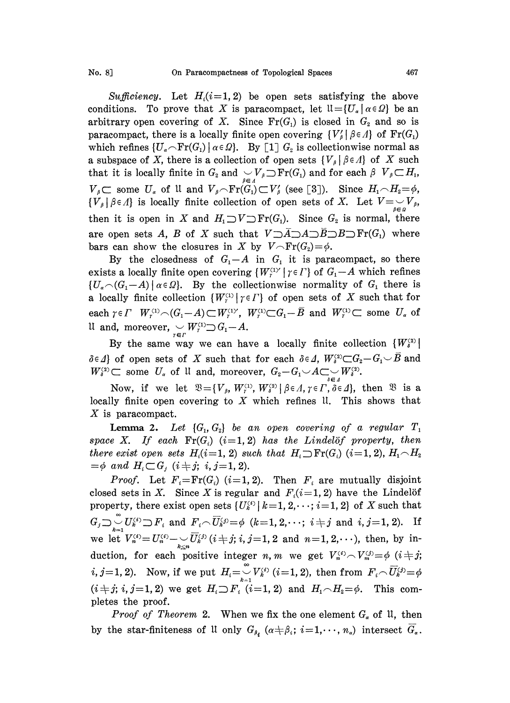Sufficiency. Let  $H_i(i=1, 2)$  be open sets satisfying the above conditions. To prove that X is paracompact, let  $\mathfrak{U} = \{U_{\alpha} \mid \alpha \in \Omega\}$  be an arbitrary open covering of X. Since  $Fr(G_1)$  is closed in  $G_2$  and so is paracompact, there is a locally finite open covering  $\{V'_{\beta} | \beta \in \Lambda\}$  of  $\text{Fr}(G_1)$ which refines  $\{U_{\alpha} \cap \text{Fr}(G_1) \mid \alpha \in \Omega\}$ . By [1]  $G_2$  is collectionwise normal as a subspace of X, there is a collection of open sets  $\{V_{\beta} | \beta \in \Lambda\}$  of X such that it is locally finite in  $G_2$  and  $\bigcup_{\beta \in A} \bigcup_{\beta \in A} \text{Fr}(G_1)$  and for each  $\beta$   $V_{\beta} \subset H_1$ ,<br>  $V_{\beta} \subset \text{some } U_{\alpha}$  of It and  $V_{\beta} \cap \text{Fr}(G_1) \subset V_{\beta}$  (see [3]). Since  $H_1 \cap H_2 = \phi$ ,<br>  $\{V_{\alpha}\}\subseteq \mathbb{R}$  is locally  $V_{\beta} \subset \text{some } U_{\alpha}$  of  $\mathfrak{U}$  and  $V_{\beta} \cap \text{Fr}(\widehat{G_1}) \subset V_{\beta}'$  (see [3]). Since  $H_1 \cap H_2 = \emptyset$ ,  $\{V_{\beta} | \beta \in \Lambda\}$  is locally finite collection of open sets of X. Let  $V = \bigcup_{\beta \in \mathfrak{g}} V_{\beta}$ , then it is open in X and  $H_1 \supset V \supset Fr(G_1)$ . Since  $G_2$  is normal, there are open sets A, B of X such that  $V \supset \overline{A} \supset A \supset \overline{B} \supset B \supset \text{Fr}(G_1)$  where bars can show the closures in X by  $V \cap Fr(G_2) = \phi$ .

By the closedness of  $G_1 - A$  in  $G_1$  it is paracompact, so there exists a locally finite open covering  $\{W^{\text{cty}}_r | r \in I\}$  of  $G_1 - A$  which refines  ${U_{\alpha} \cap (G_1-A) \mid \alpha \in \Omega}$ . By the collectionwise normality of  $G_1$  there is a locally finite collection  $\{W_l^{(1)}\mid r \in I\}$  of open sets of X such that for each  $\gamma \in \Gamma$   $W_r^{(1)} \cap (G_1 - A) \subset W_r^{(1)}$ ,  $W_r^{(1)} \subset G_1 - \overline{B}$  and  $W_r^{(1)} \subset \overline{S}$  some  $U_\alpha$  of It and, moreover,  $\bigcup_{\tau \in \Gamma} W_{\tau}^{(1)} \supset G_1 - A$ .

By the same way we can have a locally finite collection  $\{W_i^{(2)}\}$  $\delta \in \Lambda$  of open sets of X such that for each  $\delta \in \Lambda$ ,  $W_i^{(2)} \subset G_2 - G_1 \cup \overline{B}$  and  $W_i^{(2)} \subset \text{ some } U_a$  of U and, moreover,  $G_2 - G_1 \cup A \subset \bigcup_{i \in A} W_i^{(2)}$ .

Now, if we let  $\mathfrak{B} = \{V_{\beta}, W_i^{(1)}, W_{\delta}^{(2)} | \beta \in \Lambda, \gamma \in \Gamma, \delta \in \Lambda\}$ , then  $\mathfrak{B}$  is a locally finite open covering to  $X$  which refines  $\mathfrak{u}$ . This shows that X is paracompact.

**Lemma 2.** Let  $\{G_i, G_2\}$  be an open covering of a regular  $T_1$ space X. If each  $\text{Fr}(G_i)$  (i=1,2) has the Lindelöf property, then there exist open sets  $H_i(i=1, 2)$  such that  $H_i \supseteq Fr(G_i)$   $(i=1, 2), H_1 \cap H_2$ <br>= $\phi$  and  $H_i \subset G_j$   $(i \neq j; i, j = 1, 2)$ .

there exist open sets  $H_i(i=1, 2)$  such that  $H_i \supseteq Fr(G_i)$   $(i=1, 2)$ ,  $H_1 \cap H_2 = \phi$  and  $H_i \subset G_j$   $(i \neq j; i, j=1, 2)$ .<br> Proof. Let  $F_i = Fr(G_i)$   $(i=1, 2)$ . Then  $F_i$  are mutually disjoint closed sets in X. Since X is regular and *Proof.* Let  $F_i = Fr(G_i)$   $(i=1, 2)$ . Then  $F_i$  are mutually disjoint closed sets in X. Since X is regular and  $F_i(i=1, 2)$  have the Lindelöf property, there exist open sets  $\{U_k^{(k)} | k=1, 2, \dots; i=1, 2\}$  of X such that  $G_j \supseteq \bigcup_{k=1}^{\infty} U_k^{(i)} \supseteq F_i$  and  $F_i \cap \overline{U}_k^{(j)} = \phi$   $(k=1, 2, \dots; i \neq j$  and  $i, j=1, 2)$ . If we let  $V_n^{i=1} V_n^{(i)} = U_n^{(i)} - \bigcup_{k \in \mathbb{N}} \overline{U}_k^{(j)}$   $(i \neq j; i, j = 1, 2 \text{ and } n = 1, 2, \cdots)$ , then, by induction, for each positive integer n, m we get  $V_n^{(i)} \sim V_m^{(j)} = \phi$   $(i+j;$ duction, for each positive integer  $n, m$  we get  $V_n^{(i)} \sim V_m^{(j)} = \phi$  (<br>  $i, j = 1, 2$ ). Now, if we put  $H_i = \bigcup_{k=1}^{\infty} V_k^{(i)}$  ( $i = 1, 2$ ), then from  $F_i \sim \overline{U}_k^G$  $(i + j; i, j = 1, 2)$  we get  $H_i \supset F_i^{\epsilon^{-1}}(i = 1, 2)$  and  $H_1 \cap H_2 = \phi$ . This completes the proof.

*Proof of Theorem* 2. When we fix the one element  $G_{\alpha}$  of  $\mathfrak{u}$ , then by the star-finiteness of U only  $G_{\beta_i}$  ( $\alpha \neq \beta_i$ ;  $i=1,\dots, n_\alpha$ ) intersect  $\overline{G}_\alpha$ .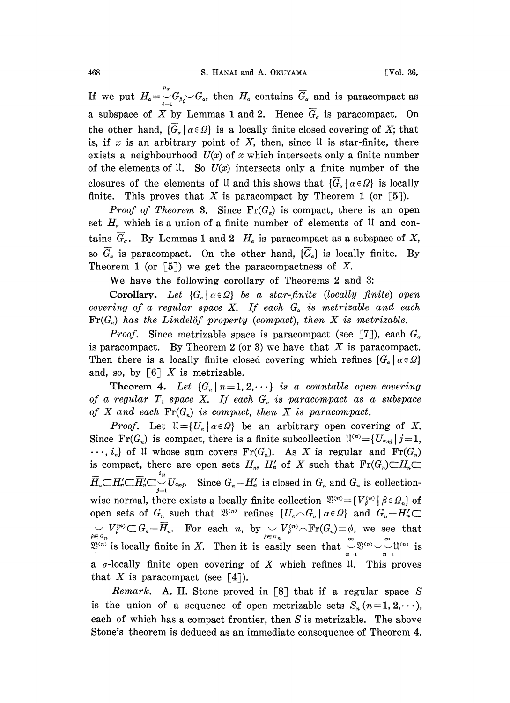If we put  $H_{\alpha}=\int_{-L}^{L}G_{\beta_i}\setminus G_{\alpha}$ , then  $H_{\alpha}$  contains  $\overline{G}_{\alpha}$  and is paracompact as a subspace of X by Lemmas 1 and 2. Hence  $\overline{G}_\alpha$  is paracompact. On the other hand,  $\{\overline{G}_\alpha | \alpha \in \Omega\}$  is a locally finite closed covering of X; that is, if  $x$  is an arbitrary point of  $X$ , then, since U is star-finite, there exists a neighbourhood  $U(x)$  of x which intersects only a finite number of the elements of U. So  $U(x)$  intersects only a finite number of the closures of the elements of U and this shows that  ${G<sub>\alpha</sub>} |\alpha \in \Omega$  is locally finite. This proves that X is paracompact by Theorem 1 (or  $[5]$ ).

*Proof of Theorem* 3. Since  $\text{Fr}(G_{\alpha})$  is compact, there is an open set  $H<sub>\alpha</sub>$  which is a union of a finite number of elements of U and contains  $\overline{G}_a$ . By Lemmas 1 and 2  $H_a$  is paracompact as a subspace of X, so  $\overline{G}_a$  is paracompact. On the other hand,  $\{\overline{G}_a\}$  is locally finite. By Theorem 1 (or  $\lceil 5 \rceil$ ) we get the paracompactness of X.

We have the following corollary of Theorems <sup>2</sup> and 3:

Corollary. Let  $\{G_{\alpha} | \alpha \in \Omega\}$  be a star-finite (locally finite) open covering of a regular space X. If each  $G_{\alpha}$  is metrizable and each  $\text{Fr}(G_{\alpha})$  has the Lindelöf property (compact), then X is metrizable.

*Proof.* Since metrizable space is paracompact (see [7]), each  $G_{\alpha}$ is paracompact. By Theorem 2 (or 3) we have that  $X$  is paracompact. Then there is a locally finite closed covering which refines  $\{G_{\alpha} \mid \alpha \in \Omega\}$ and, so, by  $\begin{bmatrix} 6 \end{bmatrix} X$  is metrizable.

**Theorem 4.** Let  $\{G_n \mid n=1, 2, \cdots\}$  is a countable open covering of a regular  $T_1$  space X. If each  $G_n$  is paracompact as a subspace of X and each  $\text{Fr}(G_n)$  is compact, then X is paracompact.

*Proof.* Let  $\mathfrak{U} = \{ U_{\alpha} \mid \alpha \in \Omega \}$  be an arbitrary open covering of X. Since  $\text{Fr}(G_n)$  is compact, there is a finite subcollection  $\mathfrak{U}^{(n)} = \{ U_{\alpha_{nj}} | j = 1, \dots, n \}$  $\cdots$ ,  $i_n$  of U whose sum covers  $Fr(G_n)$ . As X is regular and  $Fr(G_n)$ is compact, there are open sets  $H_n$ ,  $H'_n$  of X such that  $\mathrm{Fr}(G_n)\subset H_n\subset$  $\overline{H}_n \subset H_n' \subset \overline{H}_n' \subset \bigcup_{j=1}^{i_n} U_{\alpha_{nj}}$ . Since  $G_n - H_n'$  is closed in  $G_n$  and  $G_n$  is collectionwise normal, there exists a locally finite collection  $\mathfrak{B}^{(n)} = {V_{\beta}^{(n)} | \beta \in \Omega_n}$  of open sets of  $G_n$  such that  $\mathfrak{B}^{(n)}$  refines  $\{U_\alpha \cap G_n \mid \alpha \in \Omega\}$  and  $G_n - H'_n \subset$  $\bigcup_{\beta \in \mathcal{Q}_n} V_{\beta}^{(n)} \subset G_n - \overline{H}_n$ . For each *n*, by  $\bigcup_{\beta \in \mathcal{Q}_n} V_{\beta}^{(n)} \cap \text{Fr}(G_n) = \phi$ , we see that  $\mathbb{R}^{(n)}$  is locally finite in *X*. Then it is easily seen that  $\bigcup_{\beta \in \mathcal{Q}_n} \mathbb{R}^{(n)} \setminus \bigcup_{\beta \in \mathcal{$ a  $\sigma$ -locally finite open covering of X which refines U. This proves that X is paracompact (see  $\lceil 4 \rceil$ ).

Remark. A. H. Stone proved in  $[8]$  that if a regular space S is the union of a sequence of open metrizable sets  $S_n$  ( $n=1,2,\dots$ ), each of which has a compact frontier, then S is metrizable. The above Stone's theorem is deduced as an immediate consequence of Theorem 4.